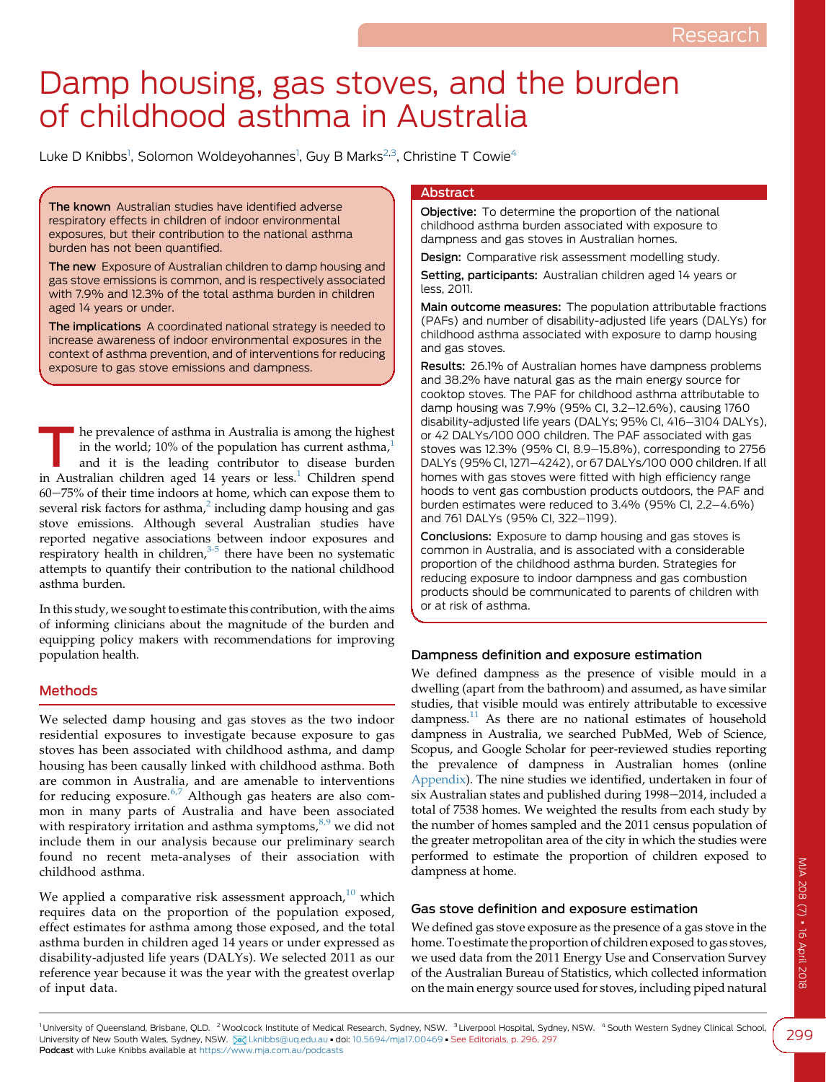# Damp housing, gas stoves, and the burden of childhood asthma in Australia

Luke D Knibbs<sup>1</sup>, Solomon Woldeyohannes<sup>1</sup>, Guy B Marks<sup>2,3</sup>, Christine T Cowie<sup>4</sup>

The known Australian studies have identified adverse respiratory effects in children of indoor environmental exposures, but their contribution to the national asthma burden has not been quantified.

The new Exposure of Australian children to damp housing and gas stove emissions is common, and is respectively associated with 7.9% and 12.3% of the total asthma burden in children aged 14 years or under.

The implications A coordinated national strategy is needed to increase awareness of indoor environmental exposures in the context of asthma prevention, and of interventions for reducing exposure to gas stove emissions and dampness.

The prevalence of asthma in Australia is among the highest<br>in the world; 10% of the population has current asthma,<sup>1</sup><br>and it is the leading contributor to disease burden<br>in Australian shildren and 14 years a legal Childre in the world; [1](#page-3-0)0% of the population has current asthma, $1$ in Australian children aged [1](#page-3-0)4 years or less.<sup>1</sup> Children spend  $60-75%$  of their time indoors at home, which can expose them to several risk factors for asthma, $^2$  $^2$  including damp housing and gas stove emissions. Although several Australian studies have reported negative associations between indoor exposures and respiratory health in children, $3-5$  there have been no systematic attempts to quantify their contribution to the national childhood asthma burden.

In this study, we sought to estimate this contribution, with the aims of informing clinicians about the magnitude of the burden and equipping policy makers with recommendations for improving population health.

# Methods

We selected damp housing and gas stoves as the two indoor residential exposures to investigate because exposure to gas stoves has been associated with childhood asthma, and damp housing has been causally linked with childhood asthma. Both are common in Australia, and are amenable to interventions for reducing exposure. $6,7$  Although gas heaters are also common in many parts of Australia and have been associated with respiratory irritation and asthma symptoms, $8.9$  we did not include them in our analysis because our preliminary search found no recent meta-analyses of their association with childhood asthma.

We applied a comparative risk assessment approach, $10$  which requires data on the proportion of the population exposed, effect estimates for asthma among those exposed, and the total asthma burden in children aged 14 years or under expressed as disability-adjusted life years (DALYs). We selected 2011 as our reference year because it was the year with the greatest overlap of input data.

# Abstract

Objective: To determine the proportion of the national childhood asthma burden associated with exposure to dampness and gas stoves in Australian homes.

Design: Comparative risk assessment modelling study.

Setting, participants: Australian children aged 14 years or less, 2011.

Main outcome measures: The population attributable fractions (PAFs) and number of disability-adjusted life years (DALYs) for childhood asthma associated with exposure to damp housing and gas stoves.

Results: 26.1% of Australian homes have dampness problems and 38.2% have natural gas as the main energy source for cooktop stoves. The PAF for childhood asthma attributable to damp housing was 7.9% (95% CI, 3.2–12.6%), causing 1760 disability-adjusted life years (DALYs; 95% CI, 416-3104 DALYs), or 42 DALYs/100 000 children. The PAF associated with gas stoves was 12.3% (95% CI, 8.9-15.8%), corresponding to 2756 DALYs (95% CI, 1271-4242), or 67 DALYs/100 000 children. If all homes with gas stoves were fitted with high efficiency range hoods to vent gas combustion products outdoors, the PAF and burden estimates were reduced to  $3.4\%$  (95% CI,  $2.2-4.6\%$ ) and 761 DALYs (95% CI, 322-1199).

Conclusions: Exposure to damp housing and gas stoves is common in Australia, and is associated with a considerable proportion of the childhood asthma burden. Strategies for reducing exposure to indoor dampness and gas combustion products should be communicated to parents of children with or at risk of asthma.

#### Dampness definition and exposure estimation

We defined dampness as the presence of visible mould in a dwelling (apart from the bathroom) and assumed, as have similar studies, that visible mould was entirely attributable to excessive dampness.<sup>[11](#page-3-0)</sup> As there are no national estimates of household dampness in Australia, we searched PubMed, Web of Science, Scopus, and Google Scholar for peer-reviewed studies reporting the prevalence of dampness in Australian homes (online [Appendix\)](https://www.mja.com.au/sites/default/files/issues/208_07/10.5694mja17.00469_Appendix.pdf). The nine studies we identified, undertaken in four of six Australian states and published during 1998-2014, included a total of 7538 homes. We weighted the results from each study by the number of homes sampled and the 2011 census population of the greater metropolitan area of the city in which the studies were performed to estimate the proportion of children exposed to dampness at home.

#### Gas stove definition and exposure estimation

We defined gas stove exposure as the presence of a gas stove in the home. To estimate the proportion of children exposed to gas stoves, we used data from the 2011 Energy Use and Conservation Survey of the Australian Bureau of Statistics, which collected information on the main energy source used for stoves, including piped natural

299

<sup>1</sup>University of Queensland, Brisbane, QLD. <sup>2</sup>Woolcock Institute of Medical Research, Sydney, NSW. <sup>3</sup>Liverpool Hospital, Sydney, NSW. 4South Western Sydney Clinical School, University of New South Wales, Sydney, NSW. [X] Lknibbs@uq.edu.au · doi: [10.5694/mja17.00469](https://doi.org/10.5694/mja17.00469) · See Editorials, p. 296, 297 Podcast with Luke Knibbs available at <https://www.mja.com.au/podcasts>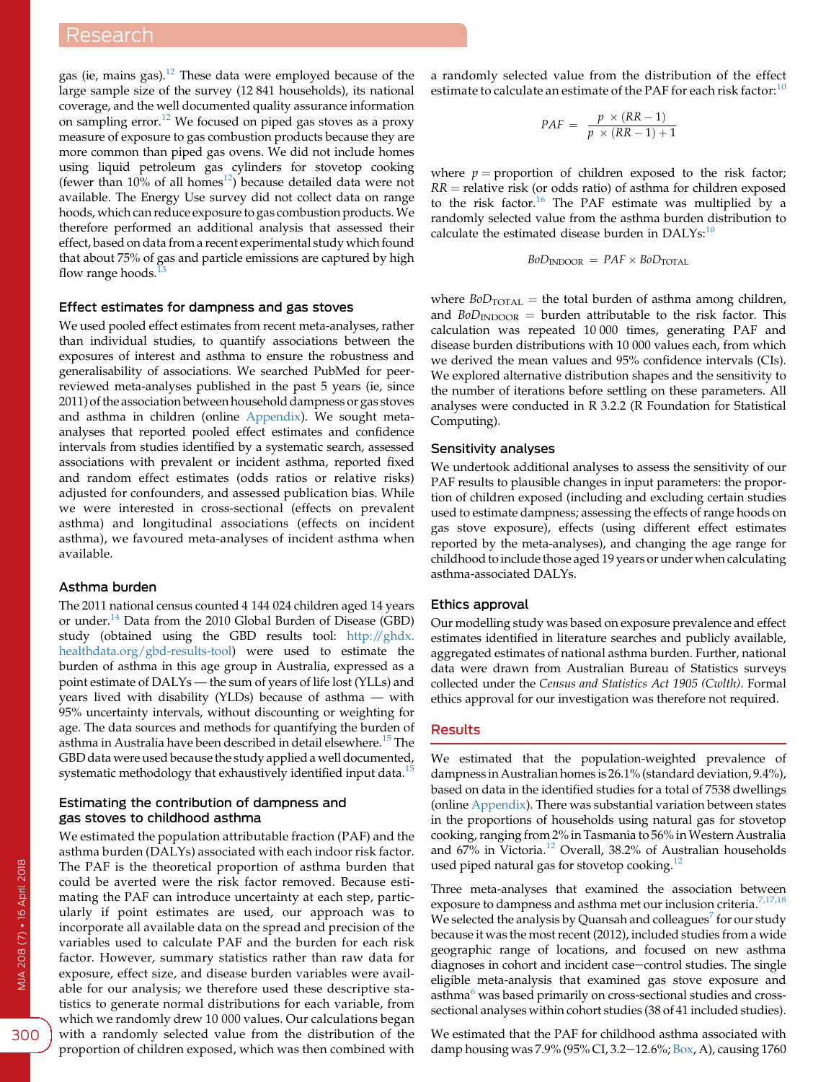# Research

gas (ie, mains gas). $12$  These data were employed because of the large sample size of the survey (12 841 households), its national coverage, and the well documented quality assurance information on sampling error.[12](#page-3-0) We focused on piped gas stoves as a proxy measure of exposure to gas combustion products because they are more common than piped gas ovens. We did not include homes using liquid petroleum gas cylinders for stovetop cooking (fewer than  $10\%$  of all homes<sup>12</sup>) because detailed data were not available. The Energy Use survey did not collect data on range hoods, which can reduce exposure to gas combustion products.We therefore performed an additional analysis that assessed their effect, based on data from a recent experimental study which found that about 75% of gas and particle emissions are captured by high flow range hoods. $<sup>1</sup>$ </sup>

# Effect estimates for dampness and gas stoves

We used pooled effect estimates from recent meta-analyses, rather than individual studies, to quantify associations between the exposures of interest and asthma to ensure the robustness and generalisability of associations. We searched PubMed for peerreviewed meta-analyses published in the past 5 years (ie, since 2011) of the association between household dampness or gas stoves and asthma in children (online [Appendix\)](https://www.mja.com.au/sites/default/files/issues/208_07/10.5694mja17.00469_Appendix.pdf). We sought metaanalyses that reported pooled effect estimates and confidence intervals from studies identified by a systematic search, assessed associations with prevalent or incident asthma, reported fixed and random effect estimates (odds ratios or relative risks) adjusted for confounders, and assessed publication bias. While we were interested in cross-sectional (effects on prevalent asthma) and longitudinal associations (effects on incident asthma), we favoured meta-analyses of incident asthma when available.

#### Asthma burden

The 2011 national census counted 4 144 024 children aged 14 years or under.<sup>[14](#page-3-0)</sup> Data from the 2010 Global Burden of Disease (GBD) study (obtained using the GBD results tool: [http://ghdx.](http://ghdx.healthdata.org/gbd-results-tool) [healthdata.org/gbd-results-tool](http://ghdx.healthdata.org/gbd-results-tool)) were used to estimate the burden of asthma in this age group in Australia, expressed as a point estimate of DALYs — the sum of years of life lost (YLLs) and years lived with disability (YLDs) because of asthma — with 95% uncertainty intervals, without discounting or weighting for age. The data sources and methods for quantifying the burden of asthma in Australia have been described in detail elsewhere.<sup>[15](#page-3-0)</sup> The GBD data were used because the study applied a well documented, systematic methodology that exhaustively identified input data.<sup>15</sup>

#### Estimating the contribution of dampness and gas stoves to childhood asthma

We estimated the population attributable fraction (PAF) and the asthma burden (DALYs) associated with each indoor risk factor. The PAF is the theoretical proportion of asthma burden that could be averted were the risk factor removed. Because estimating the PAF can introduce uncertainty at each step, particularly if point estimates are used, our approach was to incorporate all available data on the spread and precision of the variables used to calculate PAF and the burden for each risk factor. However, summary statistics rather than raw data for exposure, effect size, and disease burden variables were available for our analysis; we therefore used these descriptive statistics to generate normal distributions for each variable, from which we randomly drew 10 000 values. Our calculations began with a randomly selected value from the distribution of the proportion of children exposed, which was then combined with a randomly selected value from the distribution of the effect estimate to calculate an estimate of the PAF for each risk factor:  $10$ 

$$
PAF = \frac{p \times (RR - 1)}{p \times (RR - 1) + 1}
$$

where  $p =$  proportion of children exposed to the risk factor;  $RR$  = relative risk (or odds ratio) of asthma for children exposed to the risk factor.<sup>[16](#page-3-0)</sup> The PAF estimate was multiplied by a randomly selected value from the asthma burden distribution to calculate the estimated disease burden in DALYs:<sup>[10](#page-3-0)</sup>

$$
BoD_{INDOOR} = PAF \times BoD_{TOTAL}
$$

where  $BoD<sub>TOTAL</sub>$  = the total burden of asthma among children, and  $BoD_{\text{INDOOR}}$  = burden attributable to the risk factor. This calculation was repeated 10 000 times, generating PAF and disease burden distributions with 10 000 values each, from which we derived the mean values and 95% confidence intervals (CIs). We explored alternative distribution shapes and the sensitivity to the number of iterations before settling on these parameters. All analyses were conducted in R 3.2.2 (R Foundation for Statistical Computing).

#### Sensitivity analyses

We undertook additional analyses to assess the sensitivity of our PAF results to plausible changes in input parameters: the proportion of children exposed (including and excluding certain studies used to estimate dampness; assessing the effects of range hoods on gas stove exposure), effects (using different effect estimates reported by the meta-analyses), and changing the age range for childhood to include those aged 19 years or under when calculating asthma-associated DALYs.

#### Ethics approval

Our modelling study was based on exposure prevalence and effect estimates identified in literature searches and publicly available, aggregated estimates of national asthma burden. Further, national data were drawn from Australian Bureau of Statistics surveys collected under the Census and Statistics Act 1905 (Cwlth). Formal ethics approval for our investigation was therefore not required.

### Results

We estimated that the population-weighted prevalence of dampness in Australian homes is 26.1% (standard deviation, 9.4%), based on data in the identified studies for a total of 7538 dwellings (online [Appendix](https://www.mja.com.au/sites/default/files/issues/208_07/10.5694mja17.00469_Appendix.pdf)). There was substantial variation between states in the proportions of households using natural gas for stovetop cooking, ranging from 2% in Tasmania to 56% inWestern Australia and 67% in Victoria.<sup>[12](#page-3-0)</sup> Overall, 38.2% of Australian households used piped natural gas for stovetop cooking. $^{12}$ 

Three meta-analyses that examined the association between exposure to dampness and asthma met our inclusion criteria.<sup>[7,17,18](#page-3-0)</sup> We selected the analysis by Quansah and colleagues<sup>[7](#page-3-0)</sup> for our study because it was the most recent (2012), included studies from a wide geographic range of locations, and focused on new asthma diagnoses in cohort and incident case-control studies. The single eligible meta-analysis that examined gas stove exposure and asthma<sup>[6](#page-3-0)</sup> was based primarily on cross-sectional studies and crosssectional analyses within cohort studies (38 of 41 included studies).

We estimated that the PAF for childhood asthma associated with damp housing was 7.9% (95% CI, 3.2-12.6%; [Box,](#page-2-0) A), causing 1760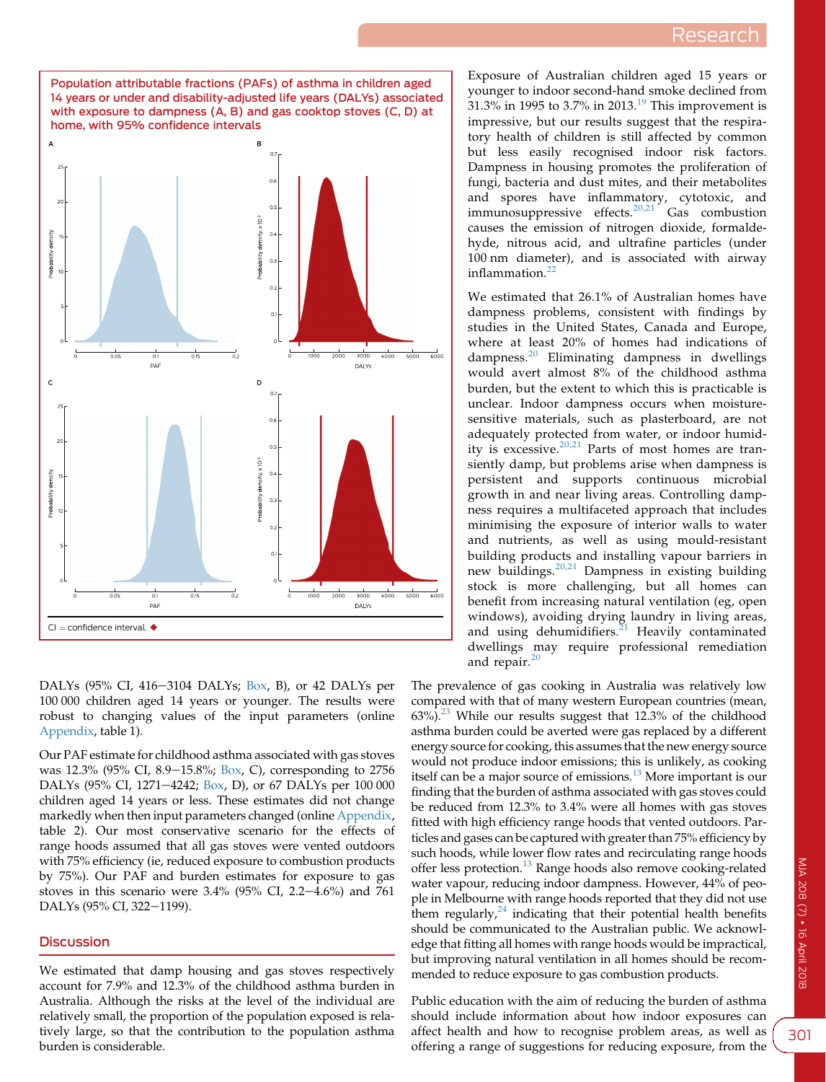<span id="page-2-0"></span>

DALYs (95% CI, 416-3104 DALYs; Box, B), or 42 DALYs per 100 000 children aged 14 years or younger. The results were robust to changing values of the input parameters (online [Appendix,](https://www.mja.com.au/sites/default/files/issues/208_07/10.5694mja17.00469_Appendix.pdf) table 1).

Our PAF estimate for childhood asthma associated with gas stoves was 12.3% (95% CI, 8.9–15.8%; Box, C), corresponding to 2756 DALYs (95% CI, 1271–4242; Box, D), or 67 DALYs per 100 000 children aged 14 years or less. These estimates did not change markedly when then input parameters changed (online [Appendix](https://www.mja.com.au/sites/default/files/issues/208_07/10.5694mja17.00469_Appendix.pdf), table 2). Our most conservative scenario for the effects of range hoods assumed that all gas stoves were vented outdoors with 75% efficiency (ie, reduced exposure to combustion products by 75%). Our PAF and burden estimates for exposure to gas stoves in this scenario were  $3.4\%$  (95% CI, 2.2-4.6%) and 761 DALYs (95% CI, 322-1199).

#### **Discussion**

We estimated that damp housing and gas stoves respectively account for 7.9% and 12.3% of the childhood asthma burden in Australia. Although the risks at the level of the individual are relatively small, the proportion of the population exposed is relatively large, so that the contribution to the population asthma burden is considerable.

Exposure of Australian children aged 15 years or younger to indoor second-hand smoke declined from  $31.3\%$  in [19](#page-3-0)95 to 3.7% in 2013.<sup>19</sup> This improvement is impressive, but our results suggest that the respiratory health of children is still affected by common but less easily recognised indoor risk factors. Dampness in housing promotes the proliferation of fungi, bacteria and dust mites, and their metabolites and spores have inflammatory, cytotoxic, and immunosuppressive effects. $20,21$  Gas combustion causes the emission of nitrogen dioxide, formaldehyde, nitrous acid, and ultrafine particles (under 100 nm diameter), and is associated with airway inflammation. $22$ 

We estimated that 26.1% of Australian homes have dampness problems, consistent with findings by studies in the United States, Canada and Europe, where at least 20% of homes had indications of dampness.[20](#page-3-0) Eliminating dampness in dwellings would avert almost 8% of the childhood asthma burden, but the extent to which this is practicable is unclear. Indoor dampness occurs when moisturesensitive materials, such as plasterboard, are not adequately protected from water, or indoor humidity is excessive. $20,21$  Parts of most homes are transiently damp, but problems arise when dampness is persistent and supports continuous microbial growth in and near living areas. Controlling dampness requires a multifaceted approach that includes minimising the exposure of interior walls to water and nutrients, as well as using mould-resistant building products and installing vapour barriers in new buildings.<sup>[20,21](#page-3-0)</sup> Dampness in existing building stock is more challenging, but all homes can benefit from increasing natural ventilation (eg, open windows), avoiding drying laundry in living areas, and using dehumidifiers. $^{21}$  $^{21}$  $^{21}$  Heavily contaminated dwellings may require professional remediation and repair.<sup>[20](#page-3-0)</sup>

The prevalence of gas cooking in Australia was relatively low compared with that of many western European countries (mean,  $63\%$ <sup>23</sup> While our results suggest that 12.3% of the childhood asthma burden could be averted were gas replaced by a different energy source for cooking, this assumes that the new energy source would not produce indoor emissions; this is unlikely, as cooking itself can be a major source of emissions.<sup>[13](#page-3-0)</sup> More important is our finding that the burden of asthma associated with gas stoves could be reduced from 12.3% to 3.4% were all homes with gas stoves fitted with high efficiency range hoods that vented outdoors. Particles and gases can be captured with greater than 75% efficiency by such hoods, while lower flow rates and recirculating range hoods offer less protection.[13](#page-3-0) Range hoods also remove cooking-related water vapour, reducing indoor dampness. However, 44% of people in Melbourne with range hoods reported that they did not use them regularly, $24$  indicating that their potential health benefits should be communicated to the Australian public. We acknowledge that fitting all homes with range hoods would be impractical, but improving natural ventilation in all homes should be recommended to reduce exposure to gas combustion products.

Public education with the aim of reducing the burden of asthma should include information about how indoor exposures can affect health and how to recognise problem areas, as well as offering a range of suggestions for reducing exposure, from the